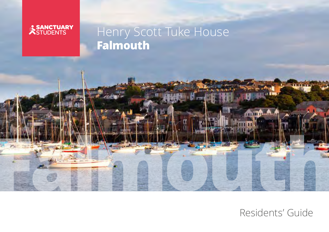

# Henry Scott Tuke House **Falmouth**



Residents' Guide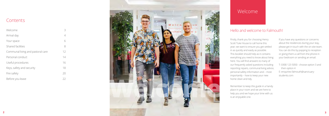

## **Contents**

| Welcome                           | 3  |
|-----------------------------------|----|
| Arrival day                       | 4  |
| Your space                        | 6  |
| Shared facilities                 | 8  |
| Communal living and pastoral care | 12 |
| Personal conduct                  | 14 |
| Useful procedures                 | 16 |
| Keys, safety and security         | 18 |
| Fire safety                       | 20 |
| Before you leave                  | 22 |

Firstly, thank you for choosing Henry Scott Tuke House to call home this year; we want to ensure you get settled in as quickly and easily as possible. This booklet should help as it contains everything you need to know about living here. You will find answers to many of our frequently asked questions including reporting repairs, communal living advice, personal safety information and – most importantly – how to keep your new home clean and tidy.

Remember to keep this guide in a handy place in your room and we are here to help you and we hope your time with us is an enjoyable one.

If you have any questions or concerns about the residences during your stay, please get in touch with the on-site team. You can do this by popping to reception or giving them a call from the phone in your bedroom or sending an email.

T: 0300 123 5050 - choose option 3 and then option 4 E: enquiries-falmouth@sanctuarystudents.com

## Welcome

## Hello and welcome to Falmouth!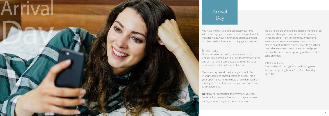With your keys you received a welcome pack which includes maps, your new mailing address and lots of other useful information to help get you started.

### Inventory

Now you have checked in, before you start to unpack take some time to fill out the inventory form and aim to have it completed and returned to our on-site team within 48 hours of arrival.

The inventory lists all the items you should find in your room and shared common areas. This is your opportunity to make note of any damaged or missing items, so it's important you take some time to complete this.



**Note:** By not completing the inventory, you may be liable for the cost of repairing or replacing any damaged or missing items when you leave.

We try to ensure everything's in good working order ready for when you move in, but unfortunately things do break from time to time. If you come across any maintenance issues on your arrival, please do not list them on your inventory as these may take a few weeks to process. Instead pop in and see the team on reception, give them a call or send an email:

T: 0300 123 5050 E: enquiries-.falmouth@sanctuary-housing.co.uk Reception opening hours: 1pm-5pm, Monday to Friday

# Arrival Day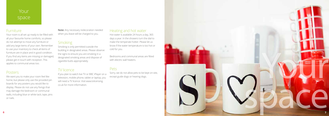Your room is all set up ready to be filled with all your favourite home comforts, so please do not attempt to move any furniture or add any large items of your own. Remember to use your inventory to check all items of furniture are in place and in good condition. If you find any items are missing or damaged, please get in touch with reception. This applies to communal areas too.

## Posters

We want you to make your room feel like home, but please only use the provided pin boards for any posters you would like to display. Please do not use any fixings that may damage the bedroom or communal walls, including blue or white tack, tape, pins or nails.

**Note:** Any necessary redecoration needed when you leave will be charged to you.

## **Smoking**



Smoking is only permitted outside the building in designated areas. Please observe the signs to ensure you are smoking in a designated smoking areas and dispose of cigarette butts appropriately.

## TV licence

If you plan to watch live TV or BBC iPlayer on a television, mobile phone, tablet or laptop, you will need a TV licence. Visit www.tvlicensing. co.uk for more information.

## Your space

### **Furniture**

## Heating and hot water

Hot water is available 24 hours a day, 365 days a year. In the showers turn the dial to make the temperate hotter. Please let us know if the water temperature is too hot or cold for you.

Bedrooms and communal areas are fitted with electric wall heaters.

## Pets

Sorry, we do not allow pets to be kept on-site,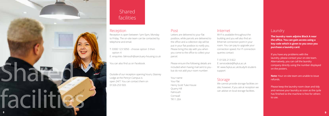Reception is open between 1pm-5pm, Monday to Friday. The on-site team can be contacted by telephone and email.

- T: 0300 123 5050 choose option 3 then option 4
- E: enquiries-.falmouth@sanctuary-housing.co.uk

You can also find us on Facebook.

Outside of our reception opening hours, Glasney Lodge at the Penryn Campus is 01326 253 503.

## **Shared** facilities

### **Reception**

**The laundry room adjoins Block A near the office. You can gain access using a key code which is given to you once you purchase a laundry card.**

If you have any problems with the laundry, please contact your on-site team. Alternatively, you can call the laundry company directly using the number displayed on the posters.



**Note:** Your on-site team are unable to issue refunds.

Please keep the laundry room clean and tidy and remove your laundry as soon as the cycle has finished so the machine is free for others to use.

## Post

Letters are delivered to your flat postbox, while parcels are delivered to the office and a collection slip will be put in your flat postbox to notify you. Please bring this slip with you when you come to the office to collect your parcel.

Please ensure the following details are included when having mail sent to you but do not add your room number:

## Your name

Your flat Henry Scott Tuke House Quarry Hill Falmouth **Cornwall** TR11 2EA

#### Internet

Wi-Fi is available throughout the building and you will also find an Ethernet connection point in your room. You can pay to upgrade your connection speed. For IT connection queries contact:

#### T: 01326 213 822

E: servicedesk@fxplus.ac.uk W: www.fxplus.ac.uk/study/it-studentsupport

## **Storage**

We cannot provide storage facilities onsite, however, if you ask at reception we can advise on local storage facilities.

- 
- 

## **Laundry**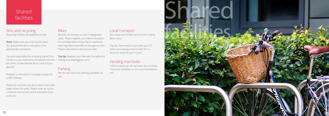## Shared facilities



### Bins and recycling Recycling facilities are available on-site.

**Note:** Make sure you only recycle clean, dry, grease-free items and place in the appropriate containers.

You are responsible for emptying waste from the bins in your bedroom and kitchen into the bin store, located beside Block J and in front Block B.

Rubbish is collected on Tuesdays, except for public holidays.

Please do not flush any items other than toilet paper down the toilet. Please wrap up razors, condoms and sanitary items and place them in the bin.

### **Bikes**



**Top tip:** Register your bike with the police by visiting www.bikeregister.com/

## **Parking**

Bus stops are located around the nearby Moor area.

Top tip: Remember to provide your ID when purchasing travel tickets for a discount towards your travel.

## Vending machines

Unfortunately we do not have any vending machines available on the accommodation

site.

Bicycles can be kept on-site in designated areas. Please register your bike in reception. Do not keep bikes in your flat or anywhere they may block stairwells or emergency exits. Please use a lock to secure your bike.

We do not have any parking available onsite.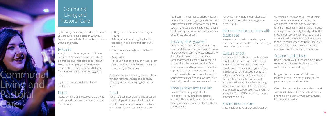# Communal Living and Pastoral Care

By following these simple codes of conduct you are sure to avoid tension with your flatmates and will also help make your time with us enjoyable.

## Respect

Always treat others as you would like to be treated. Be respectful of each other's differences and lifestyles and talk about any problems openly. Be considerate of each other's living space and let your flatmates know if you are having guests over.

If you are having problems, please contact us.

## **Noise**

Please be mindful of those who are trying to sleep and study and try to avoid doing the following:

- Letting doors slam when entering or leaving
- Talking, shouting or laughing loudly, especially in corridors and communal areas
- Loud music especially with the bass turned up
- Any parties
- Any loud noise during quiet hours (11pm-8am Sunday to Thursday and midnight-9am, Friday to Saturday)

Of course we want you to go out and have fun, but remember noise can be really irritating for someone trying to sleep or study.

## Food

Food theft can have a damaging effect on relationships within your flat. In the few days following your arrival, agree between yourselves if you will have any communal

food items. Remember to ask permission before you borrow anything and check with your flatmates before throwing their food away. Try to avoid buying large quantities of food in one go to make sure everyone has enough storage space.

## Looking after yourself

Register with a doctor (GP) as soon as you can. For details of local practices visit www. nhs.uk/service-search/GP/locationsearch/4. For minor illnesses you can visit any local pharmacist. Please ask at reception for details of the nearest hospital. Our team are on hand to provide confidential support and advice on topics including mobility needs, homesickness, issues with your flatmates and financial worries. If we can't help, we will know someone who can.

### Emergencies and first aid

In a medical emergency call 999 immediately providing the full postal address. Please notify reception so the emergency services can be directed to the correct room.

For police non-emergencies, please call 101 and for medical non-emergencies please call 111.

## Information for students with disabilities

Please come and talk to us about your needs and requirements such as needing a personal evacuation plan.

## Culture shock

Leaving home can be stressful, but many people will feel the same – talk to them about how they feel. Try to meet new people on your course or in your flat and find out about different social activities at Freshers' Fairs or the Student Union website. Keep in contact with people you are familiar with, have familiar things around you and either talk to us or look in to University support services if you are struggling. The UKCISA website has more information on this.

#### Environmental care Please help us save energy and water by

switching off lights when you aren't using them, using low temperatures on the washing machine and not leaving taps running – these can make all the difference in being environmentally friendly. Make the most of our recycling facilities too and ask at reception for more information on how to reduce your carbon footprint. Please let us know if you want to get involved with any projects or be an energy champion.

## Support and advice

Find out about your Student Union support services or visit www.nightline.ac.uk for confidential advice and support.

Drug or alcohol concerns? Visit www. talktofrank.com – do not assume you (or your friends) know all the facts.

If something is troubling you and you need someone to talk to The Samaritans have a phone helpline, visit www.samaritans.org for more information.

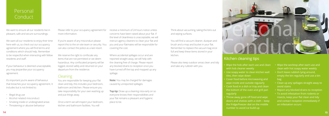## Personal **Conduct**

- 
- 

We want to ensure all our residents live in pleasant, safe and secure surroundings.

We want all our residents to enjoy their time here with us, so check out our occupancy agreement where you will find terms and conditions which should help. Remember to be respectful when interacting with fellow residents and staff.

If your behaviour is deemed unacceptable, you may jeopardise your occupancy agreement.

It's important you're aware of behaviour that breaches your occupancy agreement. It includes but is not limited to:

- Illegal drug use
- Alcohol related misconduct
- Smoking inside or undesignated areas
- Threatening or abusive behaviour

Please refer to your occupancy agreement for more information.

If you're aware of any misconduct please report this to the on-site team or security. You can also contact the police as a last resort.

We reserve the right to confiscate any items that are not permitted or we deem hazardous. Any confiscated property will be logged, stored safely and returned on your departure from the residence.

### Cleaning

You are responsible for keeping your flat clean and tidy, this includes your bedroom, bathroom and kitchen. Please ensure you take responsibility for your own washing up and put things away.

Once a term we will inspect your bedroom, kitchen and bathroom facilities. You will

receive a minimum of 24 hours notice unless concerns have been raised about your flat. If the level of cleanliness is unacceptable, we will instruct agency cleaners to clean your flat and you and your flatmates will be responsible for covering the cost.

Where accidental spillages occur and are reported straight away, we will help with the cleaning free of charge. Please report any blocked drains to reception once you have turned off the top and mopped up any spillage.

**Note:** You may be charged for damages caused by unreported spillages.

**Top tip:** Draw up a cleaning rota early on so everyone knows their responsibilities and your flat remains a pleasant and hygienic place to be.



- Wipe the hob after each use and clean with hob cleaner weekly
- Use soapy water to clean kitchen wall tiles, then wipe down
- Cover food before microwaving and wipe inside and outside regularly
- Cook food in a dish or tray and clean the bottom of the oven and grill pan regularly
- Throw away gone off food and wipe doors and shelves with a cloth – keep the fridge/freezer dial on the middle number to avoid ice build up
- Wipe the worktop after each use and clean with hot soapy water weekly
- Don't leave rubbish lying around, empty the bin regularly and use a bin bag
- Clean up any spillages straight away to avoid stains
- Report any blocked drains to reception
- To avoid infestation from rodents or insects, keep your flat clean and tidy and contact reception immediately if an infestation occurs

## Kitchen cleaning tips

Think about vacuuming, taking the bins out and wiping surfaces.

You will find a vacuum cleaner, dustpan and brush and a mop and bucket in your flat. Remember to replace the vacuum bag once full and keep these items stored in your kitchen.

Please also keep outdoor areas clean and tidy and take any rubbish with you.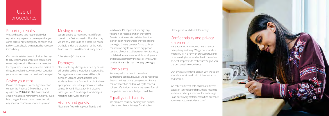

# Useful procedures

## Reporting repairs

We ask that you take responsibility for reporting any repairs or breakages that you come across. Any emergency or health and safety issues should be reported to reception immediately.

Our on-site estates team look after the dayto-day repairs and our trusted contractors cover major repairs. Please ask at reception for repair timescales, but please be patient as things may take time. We may visit you after your repair to assess the quality of the repair.

## Paying your rent

Please refer to your License Agreement or contact the Finance Office with any rent queries on **01326 259 361**. Posters and emails will act as a reminder to help you avoid late charges. Please contact reception with any financial concerns as soon as you can.

## Moving rooms

We are unable to move you to a different room in the first two weeks. After this time, we are only able to do so if there is a room available and at the discretion of the Halls Team. You can email them with any amends.

#### E: hallsteam@fxplus.ac.uk

## Damages

Please note any damages caused by misuse will be charged to the students responsible. Damage to communal areas will be split between you and your flatmates (or all students living on a floor or in a block where appropriate) unless the person responsible comes forward. Please ask for indicative prices, you won't be charged for damages resulting in fair wear and tear.

## Visitors and guests

Please feel free to bring your friends and

family over. It's important you sign any visitors in at reception when they arrive. Guests must leave site no later than the start of quiet hours unless they are staying overnight. Guests can stay for up to three consecutive nights in a seven day period. Lending of rooms (subletting) or keys is strictly prohibited. You are responsible for all guests and must accompany them at all times while on-site. Under-18s must not stay overnight.

## **Complaints**

We always do our best to provide an outstanding service, however we do recognise that sometimes things can go wrong. Please contact reception and we will try to reach a solution. If this doesn't work, we have a formal complaints procedure that you can follow.

## Equality and diversity

We promote equality, diversity and human rights through our Fairness for All policy.

Please get in touch to ask for a copy.

## Confidentiality and privacy statements

Here at Sanctuary Students, we take your data privacy seriously. We gather your data when you fill in a form on our website, send us an email, give us a call or live in one of our student properties to make sure we give you the best possible experience.

Our privacy statements explain why we collect your data, what we do with it, how we store and share it.

We collect different sets of data at different stages of your relationship with us, meaning we have a privacy statement for each stage. Read our privacy statements to find out more at www.sanctuary-students.com/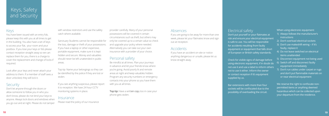# Keys, Safety and Security

## Keys

You have been issued with an entry fob, please keep this with you at all times to get in the building. You also have a set of keys to access your flat, your room and your postbox. If you lose your keys or fob please contact reception straight away so we can replace them for you, there is a charge to cover the replacement and change of locks if required.

Look after your keys and never attach your address to them. If a member of staff sees a door unlocked, they will lock it.

## **Security**

Don't let anyone through the doors or allow someone to follow you in who you don't know, please do not lend your keys to anyone. Always lock doors and windows when you go out and at night. Please do not tamper

with window restrictors and use the safety catch where available.

Sanctuary Students cannot be responsible for the loss, damage or theft of your possessions. If you have a laptop or other expensive, portable equipment, make sure it is kept hidden and secure. Money and valuables should never be left unattended in public areas.

> **Top tip:** Have a written copy too in case your phone gets stolen.

Top tip: Name your belongings so they can be identified by the police if they are lost or stolen.

If you see anything suspicious, please report it to reception. We have 24 hour CCTV monitoring systems in place.

### **Insurance**

Please read the policy of our insurance

provider carefully. Many of your personal possessions will be covered in certain circumstances such as theft, but others may only be covered up to a certain value so check and upgrade your policy where needed. Alternatively you can take out your own insurance with a provider of your choice.

## Personal safety

Be mindful at all times. Plan your journeys in advance and let your friends know where you're going. Avoid poorly lit and remote areas at night and keep valuables hidden. Program any security numbers or emergency contacts into your phone so you have them with you at all times.

## Absences

If you are going to be away for more than one week, please let your flatmates know and sign out at reception.

## Accidents

If you have an accident on-site or notice anything dangerous or unsafe, please let us know straight away.

Electrical safety Don't put yourself or your flatmates at is safe to use. You will be responsible for accidents resulting from faulty

- risk and ensure your electrical equipment equipment or equipment that falls short of European or British safety standards.
- using electronic equipment, if in doubt do not use it and use a label to inform others

Check for visible signs of damage before not to use it either. Inform the owner or contact reception if it's equipment supplied by us.

Bar extensions with more than four sockets will be confiscated due to the possibility of overloading the circuit.

When using electronic equipment:

- 1) Always follows the manufacturer's instructions
- 2) Don't overload electrical sockets
- 3) Don't use makeshift wiring if it's faulty, replace it
- 4) Do not leave switched on electrical items unattended
- 5) Disconnect equipment not being used
- 6) Switch off and disconnect faulty equipment immediately
- 7) Don't run cables under carpet or rugs and don't put flammable materials on or near electrical equipment

We reserve the right to confiscate nonpermitted items or anything deemed hazardous which can be collected upon your departure from the residence.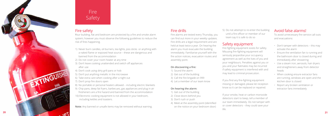## Fire safety

Your building, flat and bedroom are protected by a fire and smoke alarm system; however you must observe the following guidelines to reduce the risk of fires happening.

- 1) Never burn candles, oil burners, tea lights, joss sticks or anything with a naked flame or exposed heat source – these are dangerous and banned from the accommodation
- 2) Do not cover your room heater at any time
- 3) Don't leave cooking unattended and switch off appliances after use
- 4) Don't cook using dirty grill pans or hob
- 5) Don't put anything metallic in the microwave
- 6) Take extra care when cooking after a night out
- 7) Don't prop fire doors open
- 8) No portable or personal heaters allowed including electric blankets
- 9) Chip pans, deep fat fryers, barbecues, gas appliances and plug in air fresheners are a fire hazard and banned from the accommodation 10) Electronic cooking equipment is not allowed in your bedroom, including kettles and toasters.

**Note:** Any banned or unsafe items may be removed without warning.

## Fire drills

Fire alarms are tested every Thursday, you can find out more in your weekly updates. Fire drills are a legal requirement and are held at least twice a year. On hearing the alarm you must evacuate the building immediately. Familiarise yourself with the fire action notices, evacuation routes and assembly point.

#### **On discovering a fire:**

- 1) Sound the alarm
- 2) Get out of the building
- 3) Call the fire brigade on 999
- 4) Let a member of our team know

#### **On hearing the alarm:**

- 1) Get out of the building
- 2) Close doors behind you
- 
- 3) Don't rush or push
- 4) Meet at the assembly point (identified
	- on the notice on your bedroom door)

5) Do not attempt to re-enter the building until a fire officer or member of our team say it is safe to do so

## Safety equipment

Fire fighting equipment exists for safety. Misusing fire-fighting equipment will seriously jeopardise your occupancy agreement as well as the lives of you and your neighbours. Penalties against you or you and your flatmates may be incurred if safety equipment is interfered with and may lead to criminal prosecution.

If you find any fire-fighting equipment missing or damaged, please let reception know so it can be replaced or repaired.

If your smoke, heat or carbon monoxide detectors start to beep, tell a member of our team immediately. Do not tamper with or cover detectors – they could save your life.

# Fire Safety

## Avoid false alarms!

To avoid unnecessary fire service call outs and evacuations:

- Don't tamper with detectors this may activate the alarm
- Ensure the ventilation fan is running and the bathroom door is closed during and immediately after showering
- Use a steam iron, aerosols, hair dryers and straighteners away from detector heads
- When cooking ensure extractor fans are running, windows are open and the kitchen door is closed
- Report any broken ventilation or extractor fans immediately

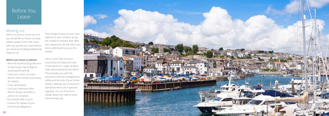

## Before You Leave

#### Moving out

When it is time to move out or if you would like to move out early, please speak to the Halls Team with any queries you have before you leave by emailing hallsteam@ fxplus.ac.uk.

**Before you leave us please:**

- Remove all personal goods and furniture (we may charge for anything left behind)
- Clean your room, en-suite, kitchen and corridor and empty all rubbish
- Close all windows
- Lock your bedroom door
- Return all keys and fobs in person to reception
- •You should refer to your contract for details of your contractual obligations.

Don't forget to pass on your new address to your contacts as we are unable to forward mail. After your departure, we will return any items addressed to you to the sender.

Henry Scott Tuke House is covered by the National Code of Standards for Larger Student Halls administered by the ANUK. This provides you with the assurance that the management, safety and security of your home meets a defined set of minimum standards which are inspected regularly. You can find more details about the code at www. nationalcode.org.